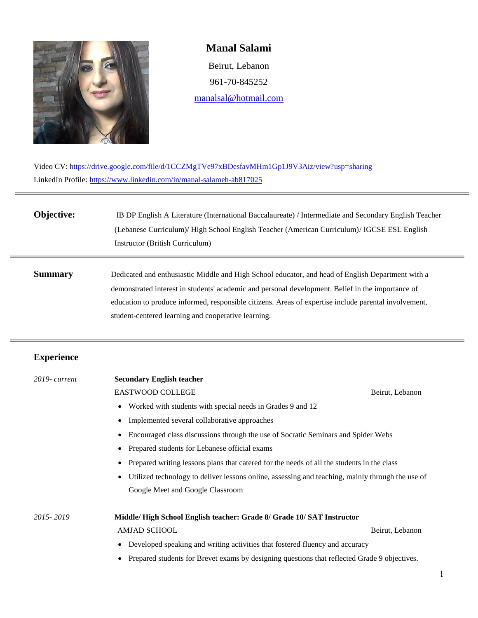

## **Manal Salami**

Beirut, Lebanon 961-70-845252 [manalsal@hotmail.com](mailto:manalsal@hotmail.com)

Video CV: <https://drive.google.com/file/d/1CCZMgTVe97xBDesfavMHm1Gp1J9V3Aiz/view?usp=sharing> LinkedIn Profile:<https://www.linkedin.com/in/manal-salameh-ab817025>

## **Objective: IB DP English A Literature (International Baccalaureate) / Intermediate and Secondary English Teacher** (Lebanese Curriculum)/ High School English Teacher (American Curriculum)/ IGCSE ESL English Instructor (British Curriculum)

**Summary** Dedicated and enthusiastic Middle and High School educator, and head of English Department with a demonstrated interest in students' academic and personal development. Belief in the importance of education to produce informed, responsible citizens. Areas of expertise include parental involvement, student-centered learning and cooperative learning.

## **Experience**

| $2019$ - current | <b>Secondary English teacher</b>                                                                              |                 |  |
|------------------|---------------------------------------------------------------------------------------------------------------|-----------------|--|
|                  | <b>EASTWOOD COLLEGE</b>                                                                                       | Beirut, Lebanon |  |
|                  | Worked with students with special needs in Grades 9 and 12<br>$\bullet$                                       |                 |  |
|                  | Implemented several collaborative approaches<br>$\bullet$                                                     |                 |  |
|                  | Encouraged class discussions through the use of Socratic Seminars and Spider Webs                             |                 |  |
|                  | Prepared students for Lebanese official exams<br>$\bullet$                                                    |                 |  |
|                  | Prepared writing lessons plans that catered for the needs of all the students in the class                    |                 |  |
|                  | Utilized technology to deliver lessons online, assessing and teaching, mainly through the use of<br>$\bullet$ |                 |  |
|                  | Google Meet and Google Classroom                                                                              |                 |  |
|                  |                                                                                                               |                 |  |
| 2015-2019        | Middle/High School English teacher: Grade 8/ Grade 10/SAT Instructor                                          |                 |  |
|                  | <b>AMJAD SCHOOL</b>                                                                                           | Beirut, Lebanon |  |
|                  | Developed speaking and writing activities that fostered fluency and accuracy                                  |                 |  |
|                  | Prepared students for Brevet exams by designing questions that reflected Grade 9 objectives.                  |                 |  |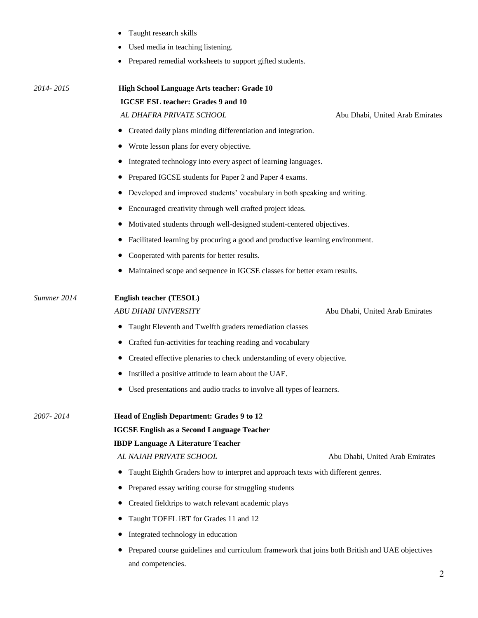|             | Used media in teaching listening.                                                              |  |  |  |
|-------------|------------------------------------------------------------------------------------------------|--|--|--|
|             | Prepared remedial worksheets to support gifted students.                                       |  |  |  |
| 2014-2015   | High School Language Arts teacher: Grade 10                                                    |  |  |  |
|             | <b>IGCSE ESL teacher: Grades 9 and 10</b>                                                      |  |  |  |
|             | AL DHAFRA PRIVATE SCHOOL<br>Abu Dhabi, United Arab Emirates                                    |  |  |  |
|             | Created daily plans minding differentiation and integration.                                   |  |  |  |
|             | Wrote lesson plans for every objective.                                                        |  |  |  |
|             | Integrated technology into every aspect of learning languages.                                 |  |  |  |
|             | Prepared IGCSE students for Paper 2 and Paper 4 exams.<br>$\bullet$                            |  |  |  |
|             | Developed and improved students' vocabulary in both speaking and writing.<br>$\bullet$         |  |  |  |
|             | Encouraged creativity through well crafted project ideas.                                      |  |  |  |
|             | Motivated students through well-designed student-centered objectives.<br>$\bullet$             |  |  |  |
|             | Facilitated learning by procuring a good and productive learning environment.<br>$\bullet$     |  |  |  |
|             | Cooperated with parents for better results.                                                    |  |  |  |
|             | Maintained scope and sequence in IGCSE classes for better exam results.                        |  |  |  |
| Summer 2014 | English teacher (TESOL)                                                                        |  |  |  |
|             | <b>ABU DHABI UNIVERSITY</b><br>Abu Dhabi, United Arab Emirates                                 |  |  |  |
|             | Taught Eleventh and Twelfth graders remediation classes<br>$\bullet$                           |  |  |  |
|             | Crafted fun-activities for teaching reading and vocabulary                                     |  |  |  |
|             | Created effective plenaries to check understanding of every objective.                         |  |  |  |
|             | Instilled a positive attitude to learn about the UAE.                                          |  |  |  |
|             | Used presentations and audio tracks to involve all types of learners.<br>$\bullet$             |  |  |  |
| 2007-2014   | Head of English Department: Grades 9 to 12                                                     |  |  |  |
|             | <b>IGCSE English as a Second Language Teacher</b>                                              |  |  |  |
|             | <b>IBDP Language A Literature Teacher</b>                                                      |  |  |  |
|             | AL NAJAH PRIVATE SCHOOL<br>Abu Dhabi, United Arab Emirates                                     |  |  |  |
|             | Taught Eighth Graders how to interpret and approach texts with different genres.<br>$\bullet$  |  |  |  |
|             | Prepared essay writing course for struggling students<br>$\bullet$                             |  |  |  |
|             | Created fieldtrips to watch relevant academic plays                                            |  |  |  |
|             | Taught TOEFL iBT for Grades 11 and 12                                                          |  |  |  |
|             | Integrated technology in education                                                             |  |  |  |
|             | Prepared course guidelines and curriculum framework that joins both British and UAE objectives |  |  |  |

Taught research skills

and competencies.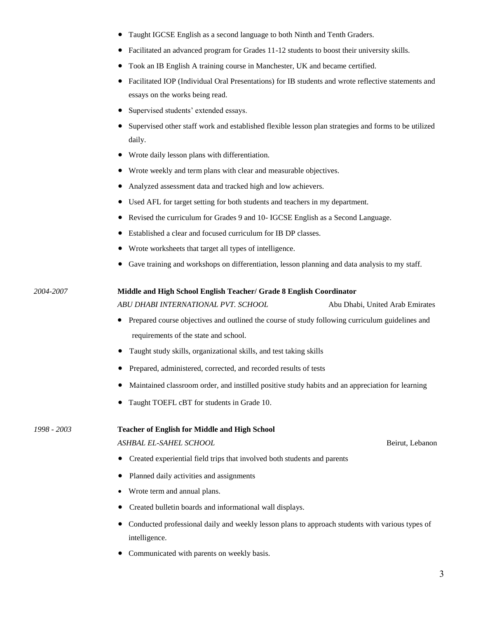- Taught IGCSE English as a second language to both Ninth and Tenth Graders.
- Facilitated an advanced program for Grades 11-12 students to boost their university skills.
- Took an IB English A training course in Manchester, UK and became certified.
- Facilitated IOP (Individual Oral Presentations) for IB students and wrote reflective statements and essays on the works being read.
- Supervised students' extended essays.
- Supervised other staff work and established flexible lesson plan strategies and forms to be utilized daily.
- Wrote daily lesson plans with differentiation.
- Wrote weekly and term plans with clear and measurable objectives.
- Analyzed assessment data and tracked high and low achievers.
- Used AFL for target setting for both students and teachers in my department.

*2004-2007* **Middle and High School English Teacher/ Grade 8 English Coordinator**

- Revised the curriculum for Grades 9 and 10- IGCSE English as a Second Language.
- Established a clear and focused curriculum for IB DP classes.
- Wrote worksheets that target all types of intelligence.
- Gave training and workshops on differentiation, lesson planning and data analysis to my staff.

*ABU DHABI INTERNATIONAL PVT. SCHOOL* Abu Dhabi, United Arab Emirates

- Prepared course objectives and outlined the course of study following curriculum guidelines and requirements of the state and school.
- Taught study skills, organizational skills, and test taking skills
- Prepared, administered, corrected, and recorded results of tests
- Maintained classroom order, and instilled positive study habits and an appreciation for learning
- Taught TOEFL cBT for students in Grade 10.

*1998 - 2003* **Teacher of English for Middle and High School**

*ASHBAL EL-SAHEL SCHOOL* Beirut, Lebanon

- Created experiential field trips that involved both students and parents
- Planned daily activities and assignments
- Wrote term and annual plans.
- Created bulletin boards and informational wall displays.
- Conducted professional daily and weekly lesson plans to approach students with various types of intelligence.
- Communicated with parents on weekly basis.